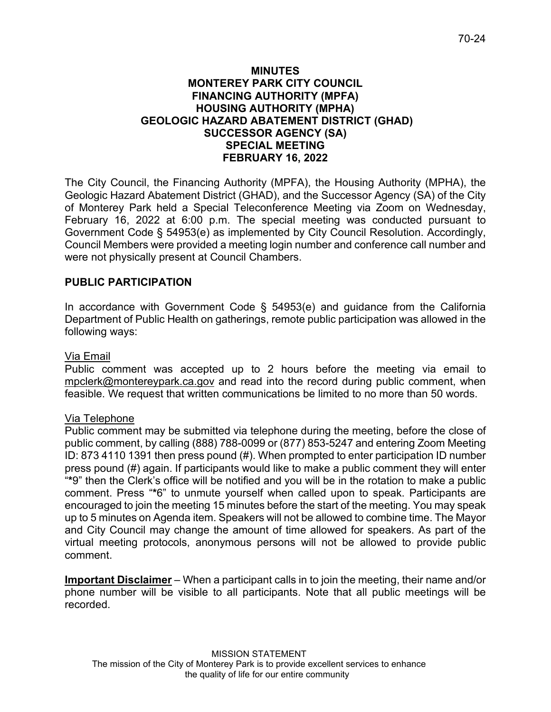# **MINUTES MONTEREY PARK CITY COUNCIL FINANCING AUTHORITY (MPFA) HOUSING AUTHORITY (MPHA) GEOLOGIC HAZARD ABATEMENT DISTRICT (GHAD) SUCCESSOR AGENCY (SA) SPECIAL MEETING FEBRUARY 16, 2022**

The City Council, the Financing Authority (MPFA), the Housing Authority (MPHA), the Geologic Hazard Abatement District (GHAD), and the Successor Agency (SA) of the City of Monterey Park held a Special Teleconference Meeting via Zoom on Wednesday, February 16, 2022 at 6:00 p.m. The special meeting was conducted pursuant to Government Code § 54953(e) as implemented by City Council Resolution. Accordingly, Council Members were provided a meeting login number and conference call number and were not physically present at Council Chambers.

# **PUBLIC PARTICIPATION**

In accordance with Government Code § 54953(e) and guidance from the California Department of Public Health on gatherings, remote public participation was allowed in the following ways:

# Via Email

Public comment was accepted up to 2 hours before the meeting via email to [mpclerk@montereypark.ca.gov](mailto:mpclerk@montereypark.ca.gov) and read into the record during public comment, when feasible. We request that written communications be limited to no more than 50 words.

# Via Telephone

Public comment may be submitted via telephone during the meeting, before the close of public comment, by calling (888) 788-0099 or (877) 853-5247 and entering Zoom Meeting ID: 873 4110 1391 then press pound (#). When prompted to enter participation ID number press pound (#) again. If participants would like to make a public comment they will enter "**\***9" then the Clerk's office will be notified and you will be in the rotation to make a public comment. Press "**\***6" to unmute yourself when called upon to speak. Participants are encouraged to join the meeting 15 minutes before the start of the meeting. You may speak up to 5 minutes on Agenda item. Speakers will not be allowed to combine time. The Mayor and City Council may change the amount of time allowed for speakers. As part of the virtual meeting protocols, anonymous persons will not be allowed to provide public comment.

**Important Disclaimer** – When a participant calls in to join the meeting, their name and/or phone number will be visible to all participants. Note that all public meetings will be recorded.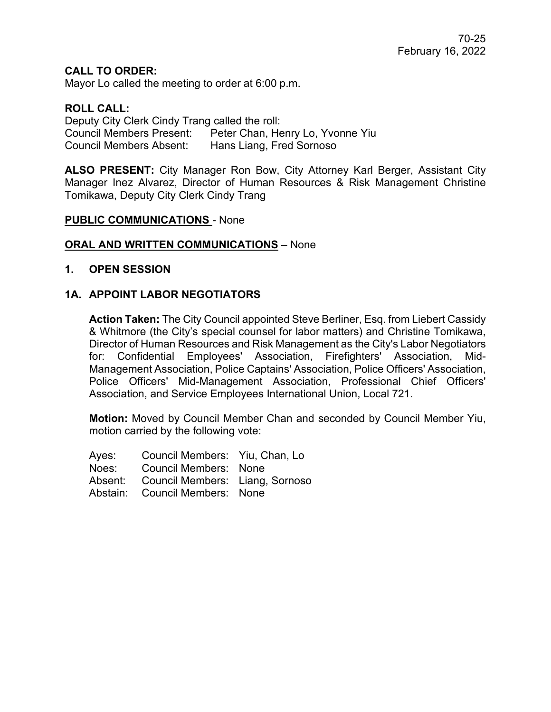**CALL TO ORDER:**

Mayor Lo called the meeting to order at 6:00 p.m.

### **ROLL CALL:**

Deputy City Clerk Cindy Trang called the roll: Council Members Present: Peter Chan, Henry Lo, Yvonne Yiu Council Members Absent: Hans Liang, Fred Sornoso

**ALSO PRESENT:** City Manager Ron Bow, City Attorney Karl Berger, Assistant City Manager Inez Alvarez, Director of Human Resources & Risk Management Christine Tomikawa, Deputy City Clerk Cindy Trang

#### **PUBLIC COMMUNICATIONS** - None

#### **ORAL AND WRITTEN COMMUNICATIONS** – None

#### **1. OPEN SESSION**

#### **1A. APPOINT LABOR NEGOTIATORS**

**Action Taken:** The City Council appointed Steve Berliner, Esq. from Liebert Cassidy & Whitmore (the City's special counsel for labor matters) and Christine Tomikawa, Director of Human Resources and Risk Management as the City's Labor Negotiators for: Confidential Employees' Association, Firefighters' Association, Mid-Management Association, Police Captains' Association, Police Officers' Association, Police Officers' Mid-Management Association, Professional Chief Officers' Association, and Service Employees International Union, Local 721.

**Motion:** Moved by Council Member Chan and seconded by Council Member Yiu, motion carried by the following vote:

Ayes: Council Members: Yiu, Chan, Lo Noes: Council Members: None Absent: Council Members: Liang, Sornoso Abstain: Council Members: None